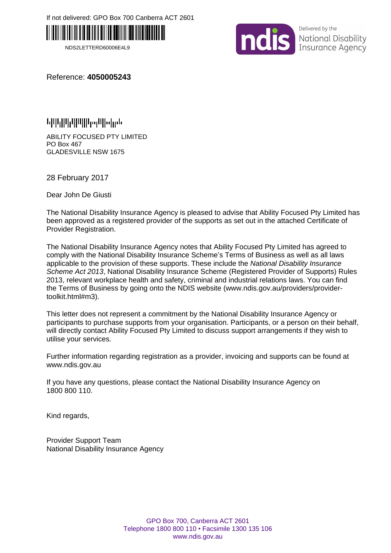If not delivered: GPO Box 700 Canberra ACT 2601



NDS2LETTERD60006E4L9



Delivered by the National Disability Insurance Agency

Reference: **4050005243**

ABILITY FOCUSED PTY LIMITED PO Box 467 GLADESVILLE NSW 1675

28 February 2017

Dear John De Giusti

The National Disability Insurance Agency is pleased to advise that Ability Focused Pty Limited has been approved as a registered provider of the supports as set out in the attached Certificate of Provider Registration.

The National Disability Insurance Agency notes that Ability Focused Pty Limited has agreed to comply with the National Disability Insurance Scheme's Terms of Business as well as all laws applicable to the provision of these supports. These include the *National Disability Insurance Scheme Act 2013*, National Disability Insurance Scheme (Registered Provider of Supports) Rules 2013, relevant workplace health and safety, criminal and industrial relations laws. You can find the Terms of Business by going onto the NDIS website (www.ndis.gov.au/providers/providertoolkit.html#m3).

This letter does not represent a commitment by the National Disability Insurance Agency or participants to purchase supports from your organisation. Participants, or a person on their behalf, will directly contact Ability Focused Pty Limited to discuss support arrangements if they wish to utilise your services.

Further information regarding registration as a provider, invoicing and supports can be found at www.ndis.gov.au

If you have any questions, please contact the National Disability Insurance Agency on 1800 800 110.

Kind regards,

Provider Support Team National Disability Insurance Agency